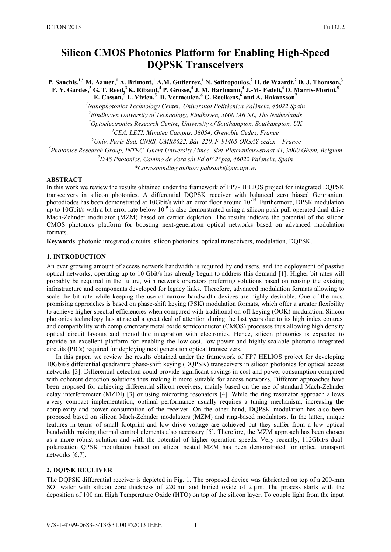# **Silicon CMOS Photonics Platform for Enabling High-Speed DQPSK Transceivers**

**P. Sanchis,1,\* M. Aamer, <sup>1</sup> A. Brimont, <sup>1</sup> A.M. Gutierrez, <sup>1</sup> N. Sotiropoulos, <sup>2</sup> H. de Waardt, <sup>2</sup> D. J. Thomson, 3 F. Y. Gardes, <sup>3</sup> G. T. Reed, <sup>3</sup>K. Ribaud, <sup>4</sup> P. Grosse, 4 J. M. Hartmann, 4 J.-M- Fedeli, <sup>4</sup> D. Marris-Morini,<sup>5</sup> E.** Cassan,<sup>5</sup> L. Vivien,<sup>5</sup> D. Vermeulen,<sup>6</sup> G. Roelkens,<sup>6</sup> and A. Hakansson<sup>7</sup>

*<sup>1</sup>Nanophotonics Technology Center, Universitat Politècnica València, 46022 Spain* 

*<sup>2</sup>Eindhoven University of Technology, Eindhoven, 5600 MB NL, The Netherlands*

*<sup>3</sup>Optoelectronics Research Centre, University of Southampton, Southampton, UK*

*<sup>4</sup>CEA, LETI, Minatec Campus, 38054, Grenoble Cedex, France*

*<sup>5</sup>Univ. Paris-Sud, CNRS, UMR8622, Bât. 220, F-91405 ORSAY cedex – France*

*<sup>6</sup>Photonics Research Group, INTEC, Ghent University / imec, Sint-Pietersnieuwstraat 41, 9000 Ghent, Belgium*

*<sup>7</sup>DAS Photonics, Camino de Vera s/n Ed 8F 2ª pta, 46022 Valencia, Spain*

*\*Corresponding author: pabsanki@ntc.upv.es*

### **ABSTRACT**

In this work we review the results obtained under the framework of FP7-HELIOS project for integrated DQPSK transceivers in silicon photonics. A differential DQPSK receiver with balanced zero biased Germanium photodiodes has been demonstrated at 10Gbit/s with an error floor around 10-15. Furthermore, DPSK modulation up to 10Gbit/s with a bit error rate below  $10^{-9}$  is also demonstrated using a silicon push-pull operated dual-drive Mach-Zehnder modulator (MZM) based on carrier depletion. The results indicate the potential of the silicon CMOS photonics platform for boosting next-generation optical networks based on advanced modulation formats.

**Keywords**: photonic integrated circuits, silicon photonics, optical transceivers, modulation, DQPSK.

### **1. INTRODUCTION**

An ever growing amount of access network bandwidth is required by end users, and the deployment of passive optical networks, operating up to 10 Gbit/s has already begun to address this demand [1]. Higher bit rates will probably be required in the future, with network operators preferring solutions based on reusing the existing infrastructure and components developed for legacy links. Therefore, advanced modulation formats allowing to scale the bit rate while keeping the use of narrow bandwidth devices are highly desirable. One of the most promising approaches is based on phase-shift keying (PSK) modulation formats, which offer a greater flexibility to achieve higher spectral efficiencies when compared with traditional on-off keying (OOK) modulation. Silicon photonics technology has attracted a great deal of attention during the last years due to its high index contrast and compatibility with complementary metal oxide semiconductor (CMOS) processes thus allowing high density optical circuit layouts and monolithic integration with electronics. Hence, silicon photonics is expected to provide an excellent platform for enabling the low-cost, low-power and highly-scalable photonic integrated circuits (PICs) required for deploying next generation optical transceivers.

In this paper, we review the results obtained under the framework of FP7 HELIOS project for developing 10Gbit/s differential quadrature phase-shift keying (DQPSK) transceivers in silicon photonics for optical access networks [3]. Differential detection could provide significant savings in cost and power consumption compared with coherent detection solutions thus making it more suitable for access networks. Different approaches have been proposed for achieving differential silicon receivers, mainly based on the use of standard Mach-Zehnder delay interferometer (MZDI) [3] or using microring resonators [4]. While the ring resonator approach allows a very compact implementation, optimal performance usually requires a tuning mechanism, increasing the complexity and power consumption of the receiver. On the other hand, DQPSK modulation has also been proposed based on silicon Mach-Zehnder modulators (MZM) and ring-based modulators. In the latter, unique features in terms of small footprint and low drive voltage are achieved but they suffer from a low optical bandwidth making thermal control elements also necessary [5]. Therefore, the MZM approach has been chosen as a more robust solution and with the potential of higher operation speeds. Very recently, 112Gbit/s dualpolarization QPSK modulation based on silicon nested MZM has been demonstrated for optical transport networks [6,7].

# **2. DQPSK RECEIVER**

The DQPSK differential receiver is depicted in Fig. 1. The proposed device was fabricated on top of a 200-mm SOI wafer with silicon core thickness of 220 nm and buried oxide of  $2 \mu$ m. The process starts with the deposition of 100 nm High Temperature Oxide (HTO) on top of the silicon layer. To couple light from the input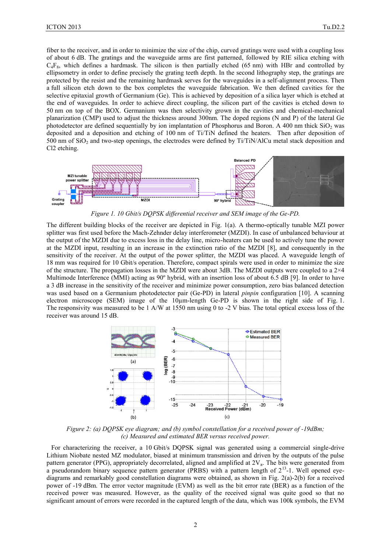fiber to the receiver, and in order to minimize the size of the chip, curved gratings were used with a coupling loss of about 6 dB. The gratings and the waveguide arms are first patterned, followed by RIE silica etching with  $C_4F_8$ , which defines a hardmask. The silicon is then partially etched (65 nm) with HBr and controlled by ellipsometry in order to define precisely the grating teeth depth. In the second lithography step, the gratings are protected by the resist and the remaining hardmask serves for the waveguides in a self-alignment process. Then a full silicon etch down to the box completes the waveguide fabrication. We then defined cavities for the selective epitaxial growth of Germanium (Ge). This is achieved by deposition of a silica layer which is etched at the end of waveguides. In order to achieve direct coupling, the silicon part of the cavities is etched down to 50 nm on top of the BOX. Germanium was then selectivity grown in the cavities and chemical-mechanical planarization (CMP) used to adjust the thickness around 300nm. The doped regions (N and P) of the lateral Ge photodetector are defined sequentially by ion implantation of Phosphorus and Boron. A 400 nm thick  $SiO<sub>2</sub>$  was deposited and a deposition and etching of 100 nm of Ti/TiN defined the heaters. Then after deposition of 500 nm of SiO<sup>2</sup> and two-step openings, the electrodes were defined by Ti/TiN/AlCu metal stack deposition and Cl2 etching.



*Figure 1. 10 Gbit/s DQPSK differential receiver and SEM image of the Ge-PD.*

The different building blocks of the receiver are depicted in Fig. 1(a). A thermo-optically tunable MZI power splitter was first used before the Mach-Zehnder delay interferometer (MZDI). In case of unbalanced behaviour at the output of the MZDI due to excess loss in the delay line, micro-heaters can be used to actively tune the power at the MZDI input, resulting in an increase in the extinction ratio of the MZDI [8], and consequently in the sensitivity of the receiver. At the output of the power splitter, the MZDI was placed. A waveguide length of 18 mm was required for 10 Gbit/s operation. Therefore, compact spirals were used in order to minimize the size of the structure. The propagation losses in the MZDI were about 3dB. The MZDI outputs were coupled to a 2×4 Multimode Interference (MMI) acting as 90<sup>°</sup> hybrid, with an insertion loss of about 6.5 dB [9]. In order to have a 3 dB increase in the sensitivity of the receiver and minimize power consumption, zero bias balanced detection was used based on a Germanium photodetector pair (Ge-PD) in lateral *pinpin* configuration [10]. A scanning electron microscope (SEM) image of the 10µm-length Ge-PD is shown in the right side of Fig. 1. The responsivity was measured to be 1 A/W at 1550 nm using 0 to -2 V bias. The total optical excess loss of the receiver was around 15 dB.



*Figure 2: (a) DQPSK eye diagram; and (b) symbol constellation for a received power of -19dBm; (c) Measured and estimated BER versus received power.*

For characterizing the receiver, a 10 Gbit/s DQPSK signal was generated using a commercial single-drive Lithium Niobate nested MZ modulator, biased at minimum transmission and driven by the outputs of the pulse pattern generator (PPG), appropriately decorrelated, aligned and amplified at  $2V_\pi$ . The bits were generated from a pseudorandom binary sequence pattern generator (PRBS) with a pattern length of  $2^{13}$ -1. Well opened eyediagrams and remarkably good constellation diagrams were obtained, as shown in Fig. 2(a)-2(b) for a received power of -19 dBm. The error vector magnitude (EVM) as well as the bit error rate (BER) as a function of the received power was measured. However, as the quality of the received signal was quite good so that no significant amount of errors were recorded in the captured length of the data, which was 100k symbols, the EVM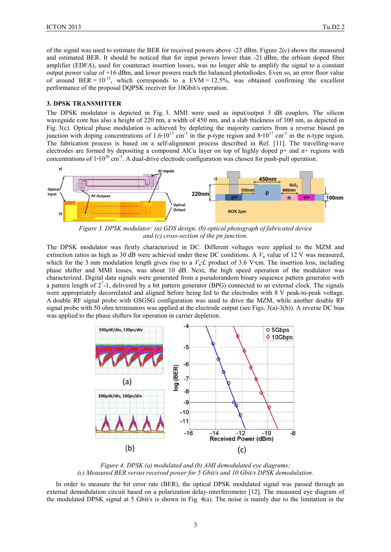of the signal was used to estimate the BER for received powers above -23 dBm. Figure 2(c) shows the measured and estimated BER. It should be noticed that for input powers lower than -21 dBm, the erbium doped fiber amplifier (EDFA), used for counteract insertion losses, was no longer able to amplify the signal to a constant output power value of +16 dBm, and lower powers reach the balanced photodiodes. Even so, an error floor value of around BER =  $10^{-15}$ , which corresponds to a EVM = 12.5%, was obtained confirming the excellent performance of the proposal DQPSK receiver for 10Gbit/s operation.

## **3. DPSK TRANSMITTER**

The DPSK modulator is depicted in Fig. 3. MMI were used as input/output 3 dB couplers. The silicon waveguide core has also a height of 220 nm, a width of 450 nm, and a slab thickness of 100 nm, as depicted in Fig. 3(c). Optical phase modulation is achieved by depleting the majority carriers from a reverse biased pn junction with doping concentrations of  $1.6 \cdot 10^{17}$  cm<sup>-3</sup> in the p-type region and  $8 \cdot 10^{17}$  cm<sup>-3</sup> in the n-type region. The fabrication process is based on a self-alignment process described in Ref. [11]. The travelling-wave electrodes are formed by depositing a compound AlCu layer on top of highly doped p+ and n+ regions with concentrations of  $1 \cdot 10^{20}$  cm<sup>-3</sup>. A dual-drive electrode configuration was chosen for push-pull operation.



*Figure 3. DPSK modulator: (a) GDS design, (b) optical photograph of fabricated device and (c) cross-section of the pn junction.*

The DPSK modulator was firstly characterized in DC. Different voltages were applied to the MZM and extinction ratios as high as 30 dB were achieved under these DC conditions. A  $V_{\pi}$  value of 12 V was measured, which for the 3 mm modulation length gives rise to a  $V_{\pi}L$  product of 3.6 V cm. The insertion loss, including phase shifter and MMI losses, was about 10 dB. Next, the high speed operation of the modulator was characterized. Digital data signals were generated from a pseudorandom binary sequence pattern generator with a pattern length of  $2^7$ -1, delivered by a bit pattern generator (BPG) connected to an external clock. The signals were appropriately decorrelated and aligned before being fed to the electrodes with 8 V peak-to-peak voltage. A double RF signal probe with GSGSG configuration was used to drive the MZM, while another double RF signal probe with 50 ohm terminators was applied at the electrode output (see Figs. 3(a)-3(b)). A reverse DC bias was applied to the phase shifters for operation in carrier depletion.



*Figure 4. DPSK (a) modulated and (b) AMI demodulated eye diagrams; (c) Measured BER versus received power for 5 Gbit/s and 10 Gbit/s DPSK demodulation.*

In order to measure the bit error rate (BER), the optical DPSK modulated signal was passed through an external demodulation circuit based on a polarization delay-interferometer [12]. The measured eye diagram of the modulated DPSK signal at 5 Gbit/s is shown in Fig. 4(a). The noise is mainly due to the limitation in the